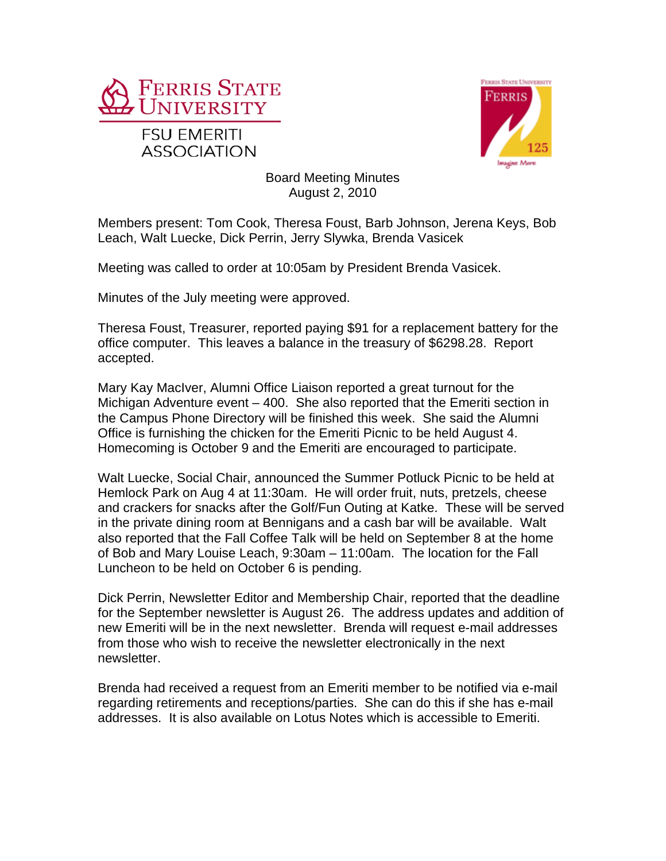



Board Meeting Minutes August 2, 2010

Members present: Tom Cook, Theresa Foust, Barb Johnson, Jerena Keys, Bob Leach, Walt Luecke, Dick Perrin, Jerry Slywka, Brenda Vasicek

Meeting was called to order at 10:05am by President Brenda Vasicek.

Minutes of the July meeting were approved.

Theresa Foust, Treasurer, reported paying \$91 for a replacement battery for the office computer. This leaves a balance in the treasury of \$6298.28. Report accepted.

Mary Kay MacIver, Alumni Office Liaison reported a great turnout for the Michigan Adventure event – 400. She also reported that the Emeriti section in the Campus Phone Directory will be finished this week. She said the Alumni Office is furnishing the chicken for the Emeriti Picnic to be held August 4. Homecoming is October 9 and the Emeriti are encouraged to participate.

Walt Luecke, Social Chair, announced the Summer Potluck Picnic to be held at Hemlock Park on Aug 4 at 11:30am. He will order fruit, nuts, pretzels, cheese and crackers for snacks after the Golf/Fun Outing at Katke. These will be served in the private dining room at Bennigans and a cash bar will be available. Walt also reported that the Fall Coffee Talk will be held on September 8 at the home of Bob and Mary Louise Leach, 9:30am – 11:00am. The location for the Fall Luncheon to be held on October 6 is pending.

Dick Perrin, Newsletter Editor and Membership Chair, reported that the deadline for the September newsletter is August 26. The address updates and addition of new Emeriti will be in the next newsletter. Brenda will request e-mail addresses from those who wish to receive the newsletter electronically in the next newsletter.

Brenda had received a request from an Emeriti member to be notified via e-mail regarding retirements and receptions/parties. She can do this if she has e-mail addresses. It is also available on Lotus Notes which is accessible to Emeriti.